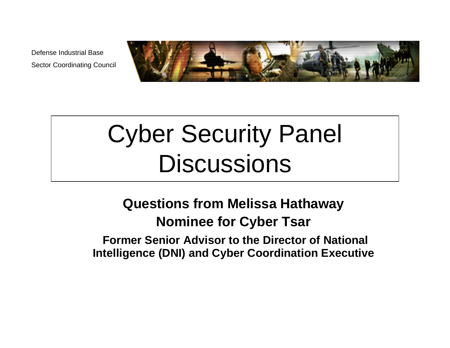

# Cyber Security Panel **Discussions**

#### **Questions from Melissa Hathaway Nominee for Cyber Tsar**

**Former Senior Advisor to the Director of National Intelligence (DNI) and Cyber Coordination Executive**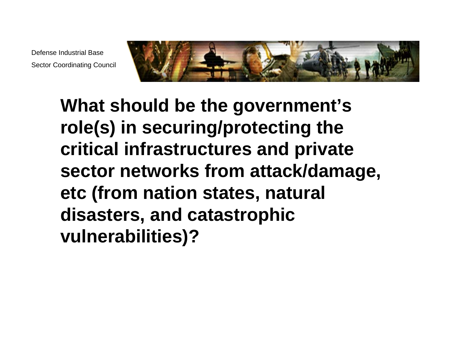

**What should be the government's role(s) in securing/protecting the critical infrastructures and private sector networks from attack/damage, etc (from nation states, natural disasters, and catastrophic vulnerabilities)?**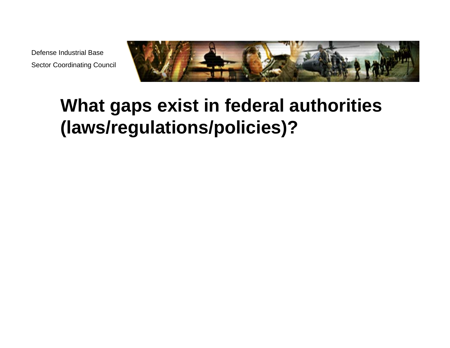

#### **What gaps exist in federal authorities (laws/regulations/policies)?**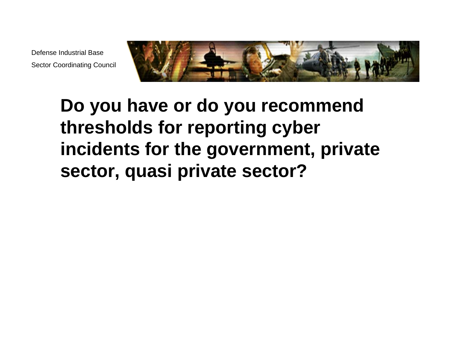

# **Do you have or do you recommend thresholds for reporting cyber incidents for the government, private sector, quasi private sector?**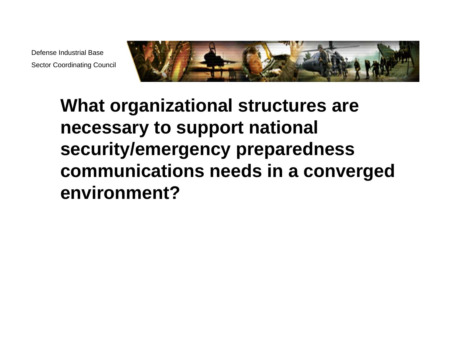

# **What organizational structures are necessary to support national security/emergency preparedness communications needs in a converged environment?**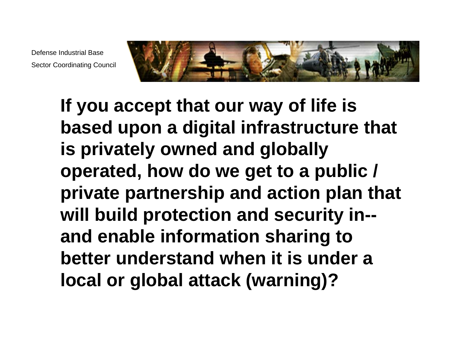

**If you accept that our way of life is based upon a digital infrastructure that is privately owned and globally operated, how do we get to a public / private partnership and action plan that will build protection and security in- and enable information sharing to better understand when it is under a local or global attack (warning)?**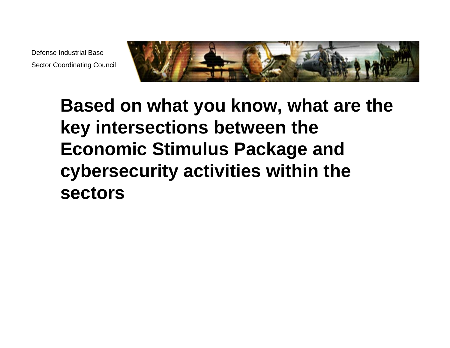

## **Based on what you know, what are the key intersections between the Economic Stimulus Package and cybersecurity activities within the sectors**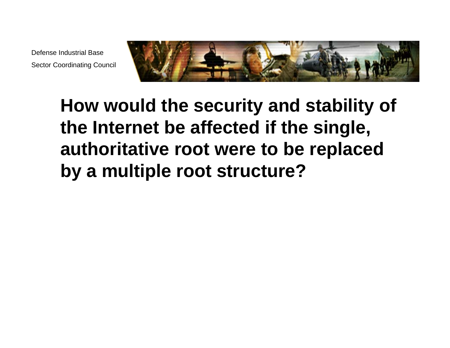

# **How would the security and stability of the Internet be affected if the single, authoritative root were to be replaced by a multiple root structure?**